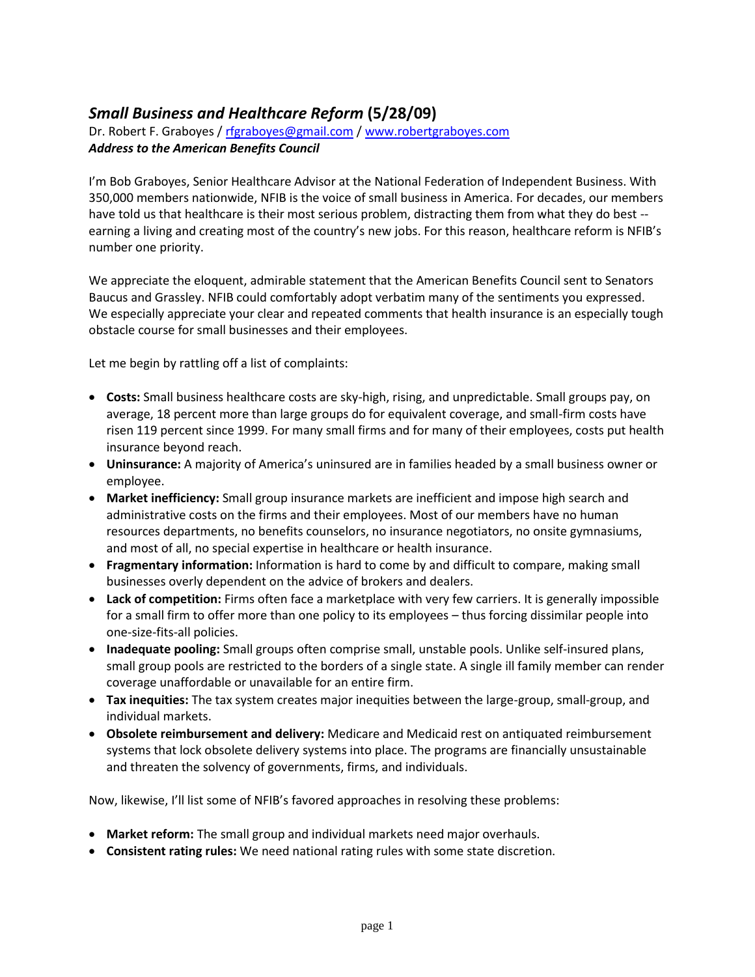## *Small Business and Healthcare Reform* **(5/28/09)**

Dr. Robert F. Graboyes / [rfgraboyes@gmail.com](mailto:rfgraboyes@gmail.com) / [www.robertgraboyes.com](http://www.robertgraboyes.com/) *Address to the American Benefits Council*

I'm Bob Graboyes, Senior Healthcare Advisor at the National Federation of Independent Business. With 350,000 members nationwide, NFIB is the voice of small business in America. For decades, our members have told us that healthcare is their most serious problem, distracting them from what they do best - earning a living and creating most of the country's new jobs. For this reason, healthcare reform is NFIB's number one priority.

We appreciate the eloquent, admirable statement that the American Benefits Council sent to Senators Baucus and Grassley. NFIB could comfortably adopt verbatim many of the sentiments you expressed. We especially appreciate your clear and repeated comments that health insurance is an especially tough obstacle course for small businesses and their employees.

Let me begin by rattling off a list of complaints:

- **Costs:** Small business healthcare costs are sky-high, rising, and unpredictable. Small groups pay, on average, 18 percent more than large groups do for equivalent coverage, and small-firm costs have risen 119 percent since 1999. For many small firms and for many of their employees, costs put health insurance beyond reach.
- **Uninsurance:** A majority of America's uninsured are in families headed by a small business owner or employee.
- **Market inefficiency:** Small group insurance markets are inefficient and impose high search and administrative costs on the firms and their employees. Most of our members have no human resources departments, no benefits counselors, no insurance negotiators, no onsite gymnasiums, and most of all, no special expertise in healthcare or health insurance.
- **Fragmentary information:** Information is hard to come by and difficult to compare, making small businesses overly dependent on the advice of brokers and dealers.
- **Lack of competition:** Firms often face a marketplace with very few carriers. It is generally impossible for a small firm to offer more than one policy to its employees – thus forcing dissimilar people into one-size-fits-all policies.
- **Inadequate pooling:** Small groups often comprise small, unstable pools. Unlike self-insured plans, small group pools are restricted to the borders of a single state. A single ill family member can render coverage unaffordable or unavailable for an entire firm.
- **Tax inequities:** The tax system creates major inequities between the large-group, small-group, and individual markets.
- **Obsolete reimbursement and delivery:** Medicare and Medicaid rest on antiquated reimbursement systems that lock obsolete delivery systems into place. The programs are financially unsustainable and threaten the solvency of governments, firms, and individuals.

Now, likewise, I'll list some of NFIB's favored approaches in resolving these problems:

- **Market reform:** The small group and individual markets need major overhauls.
- **Consistent rating rules:** We need national rating rules with some state discretion.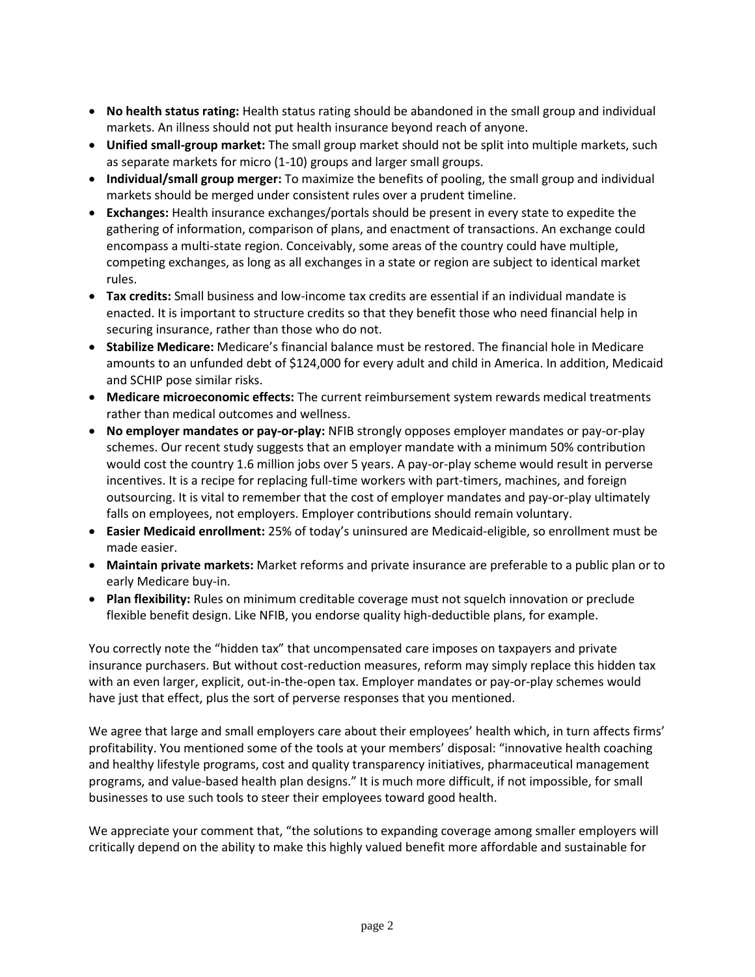- **No health status rating:** Health status rating should be abandoned in the small group and individual markets. An illness should not put health insurance beyond reach of anyone.
- **Unified small-group market:** The small group market should not be split into multiple markets, such as separate markets for micro (1-10) groups and larger small groups.
- **Individual/small group merger:** To maximize the benefits of pooling, the small group and individual markets should be merged under consistent rules over a prudent timeline.
- **Exchanges:** Health insurance exchanges/portals should be present in every state to expedite the gathering of information, comparison of plans, and enactment of transactions. An exchange could encompass a multi-state region. Conceivably, some areas of the country could have multiple, competing exchanges, as long as all exchanges in a state or region are subject to identical market rules.
- **Tax credits:** Small business and low-income tax credits are essential if an individual mandate is enacted. It is important to structure credits so that they benefit those who need financial help in securing insurance, rather than those who do not.
- **Stabilize Medicare:** Medicare's financial balance must be restored. The financial hole in Medicare amounts to an unfunded debt of \$124,000 for every adult and child in America. In addition, Medicaid and SCHIP pose similar risks.
- **Medicare microeconomic effects:** The current reimbursement system rewards medical treatments rather than medical outcomes and wellness.
- **No employer mandates or pay-or-play:** NFIB strongly opposes employer mandates or pay-or-play schemes. Our recent study suggests that an employer mandate with a minimum 50% contribution would cost the country 1.6 million jobs over 5 years. A pay-or-play scheme would result in perverse incentives. It is a recipe for replacing full-time workers with part-timers, machines, and foreign outsourcing. It is vital to remember that the cost of employer mandates and pay-or-play ultimately falls on employees, not employers. Employer contributions should remain voluntary.
- **Easier Medicaid enrollment:** 25% of today's uninsured are Medicaid-eligible, so enrollment must be made easier.
- **Maintain private markets:** Market reforms and private insurance are preferable to a public plan or to early Medicare buy-in.
- **Plan flexibility:** Rules on minimum creditable coverage must not squelch innovation or preclude flexible benefit design. Like NFIB, you endorse quality high-deductible plans, for example.

You correctly note the "hidden tax" that uncompensated care imposes on taxpayers and private insurance purchasers. But without cost-reduction measures, reform may simply replace this hidden tax with an even larger, explicit, out-in-the-open tax. Employer mandates or pay-or-play schemes would have just that effect, plus the sort of perverse responses that you mentioned.

We agree that large and small employers care about their employees' health which, in turn affects firms' profitability. You mentioned some of the tools at your members' disposal: "innovative health coaching and healthy lifestyle programs, cost and quality transparency initiatives, pharmaceutical management programs, and value-based health plan designs." It is much more difficult, if not impossible, for small businesses to use such tools to steer their employees toward good health.

We appreciate your comment that, "the solutions to expanding coverage among smaller employers will critically depend on the ability to make this highly valued benefit more affordable and sustainable for